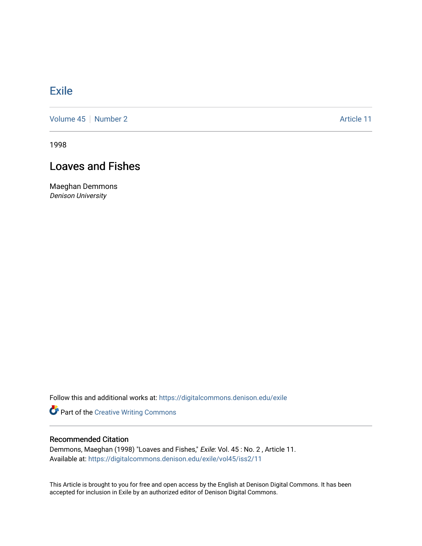## **[Exile](https://digitalcommons.denison.edu/exile)**

[Volume 45](https://digitalcommons.denison.edu/exile/vol45) | [Number 2](https://digitalcommons.denison.edu/exile/vol45/iss2) Article 11

1998

## Loaves and Fishes

Maeghan Demmons Denison University

Follow this and additional works at: [https://digitalcommons.denison.edu/exile](https://digitalcommons.denison.edu/exile?utm_source=digitalcommons.denison.edu%2Fexile%2Fvol45%2Fiss2%2F11&utm_medium=PDF&utm_campaign=PDFCoverPages) 

Part of the [Creative Writing Commons](http://network.bepress.com/hgg/discipline/574?utm_source=digitalcommons.denison.edu%2Fexile%2Fvol45%2Fiss2%2F11&utm_medium=PDF&utm_campaign=PDFCoverPages) 

## Recommended Citation

Demmons, Maeghan (1998) "Loaves and Fishes," Exile: Vol. 45 : No. 2 , Article 11. Available at: [https://digitalcommons.denison.edu/exile/vol45/iss2/11](https://digitalcommons.denison.edu/exile/vol45/iss2/11?utm_source=digitalcommons.denison.edu%2Fexile%2Fvol45%2Fiss2%2F11&utm_medium=PDF&utm_campaign=PDFCoverPages)

This Article is brought to you for free and open access by the English at Denison Digital Commons. It has been accepted for inclusion in Exile by an authorized editor of Denison Digital Commons.